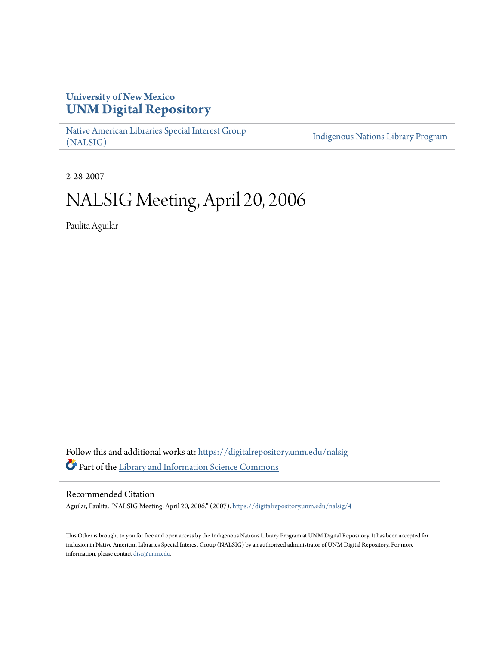# **University of New Mexico [UNM Digital Repository](https://digitalrepository.unm.edu?utm_source=digitalrepository.unm.edu%2Fnalsig%2F4&utm_medium=PDF&utm_campaign=PDFCoverPages)**

[Native American Libraries Special Interest Group](https://digitalrepository.unm.edu/nalsig?utm_source=digitalrepository.unm.edu%2Fnalsig%2F4&utm_medium=PDF&utm_campaign=PDFCoverPages) [\(NALSIG\)](https://digitalrepository.unm.edu/nalsig?utm_source=digitalrepository.unm.edu%2Fnalsig%2F4&utm_medium=PDF&utm_campaign=PDFCoverPages)

[Indigenous Nations Library Program](https://digitalrepository.unm.edu/inlp?utm_source=digitalrepository.unm.edu%2Fnalsig%2F4&utm_medium=PDF&utm_campaign=PDFCoverPages)

2-28-2007

# NALSIG Meeting, April 20, 2006

Paulita Aguilar

Follow this and additional works at: [https://digitalrepository.unm.edu/nalsig](https://digitalrepository.unm.edu/nalsig?utm_source=digitalrepository.unm.edu%2Fnalsig%2F4&utm_medium=PDF&utm_campaign=PDFCoverPages) Part of the [Library and Information Science Commons](http://network.bepress.com/hgg/discipline/1018?utm_source=digitalrepository.unm.edu%2Fnalsig%2F4&utm_medium=PDF&utm_campaign=PDFCoverPages)

#### Recommended Citation

Aguilar, Paulita. "NALSIG Meeting, April 20, 2006." (2007). [https://digitalrepository.unm.edu/nalsig/4](https://digitalrepository.unm.edu/nalsig/4?utm_source=digitalrepository.unm.edu%2Fnalsig%2F4&utm_medium=PDF&utm_campaign=PDFCoverPages)

This Other is brought to you for free and open access by the Indigenous Nations Library Program at UNM Digital Repository. It has been accepted for inclusion in Native American Libraries Special Interest Group (NALSIG) by an authorized administrator of UNM Digital Repository. For more information, please contact [disc@unm.edu.](mailto:disc@unm.edu)